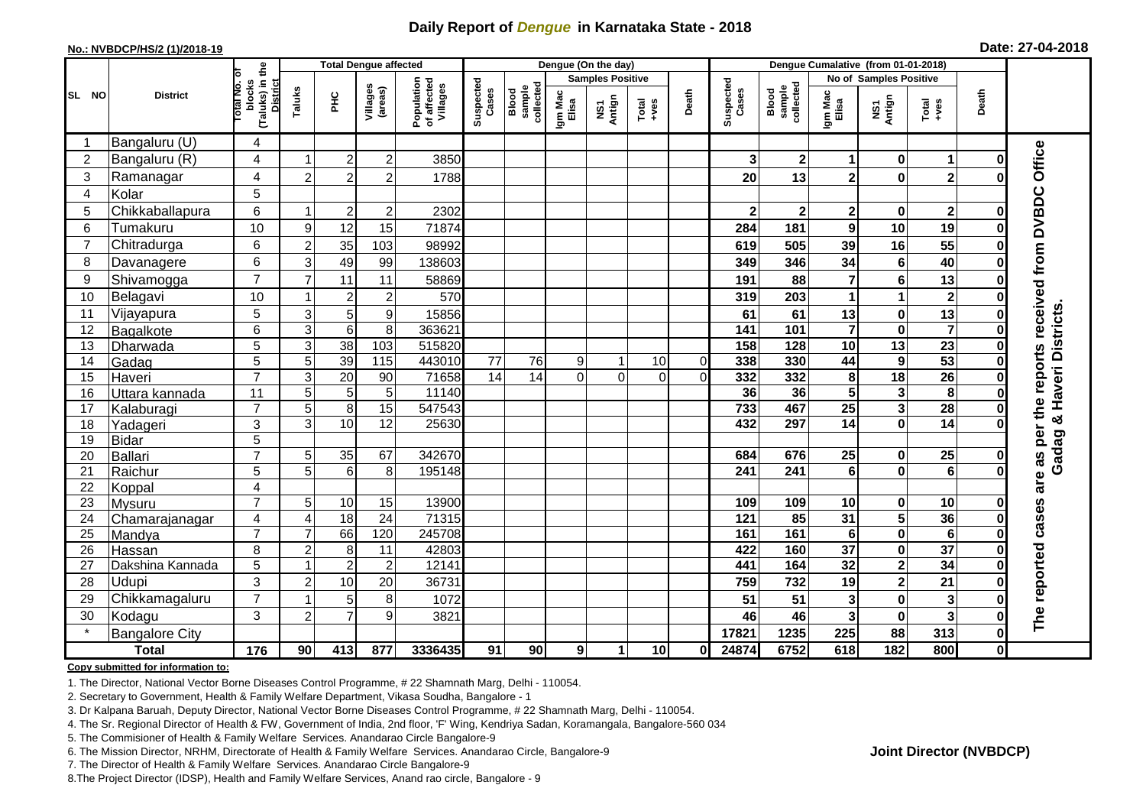## **Daily Report of** *Dengue* **in Karnataka State - 2018**

#### **No.: NVBDCP/HS/2 (1)/2018-19**

|  |  | Date: 27-04-2018 |
|--|--|------------------|
|--|--|------------------|

|                | <b>Total Dengue affected</b> |                                                             |                |                 |                     |                                       |                    |                              |                         | Dengue (On the day) |                  |                |                    |                              |                         |                         |                         |              |                                                   |
|----------------|------------------------------|-------------------------------------------------------------|----------------|-----------------|---------------------|---------------------------------------|--------------------|------------------------------|-------------------------|---------------------|------------------|----------------|--------------------|------------------------------|-------------------------|-------------------------|-------------------------|--------------|---------------------------------------------------|
|                |                              |                                                             |                |                 |                     |                                       |                    |                              | <b>Samples Positive</b> |                     |                  |                |                    |                              |                         | No of Samples Positive  |                         |              |                                                   |
| SL NO          | <b>District</b>              | (Taluks) in the<br>otal No. of<br>blocks<br><b>District</b> | Taluks         | ΞÉ              | Villages<br>(areas) | Population<br>of affected<br>Villages | Suspected<br>Cases | sample<br>collected<br>Blood | Igm Mac<br>Elisa        | NS1<br>Antign       | $Tota$<br>$+ves$ | Death          | Suspected<br>Cases | sample<br>collected<br>Blood | Igm Mac<br>Elisa        | NS1<br>Antign           | Total<br>$+ve$ s        | Death        |                                                   |
|                | Bangaluru (U)                | 4                                                           |                |                 |                     |                                       |                    |                              |                         |                     |                  |                |                    |                              |                         |                         |                         |              |                                                   |
| 2              | Bangaluru (R)                | $\overline{4}$                                              |                | $\overline{2}$  | $\overline{c}$      | 3850                                  |                    |                              |                         |                     |                  |                | 3                  | $\mathbf{2}$                 | 1                       | $\bf{0}$                | $\mathbf 1$             | 0            |                                                   |
| 3              | Ramanagar                    | 4                                                           | $\overline{2}$ | $\overline{2}$  | $\overline{2}$      | 1788                                  |                    |                              |                         |                     |                  |                | 20                 | 13                           | $\overline{\mathbf{2}}$ | $\mathbf 0$             | $\overline{2}$          | U            | are as per the reports received from DVBDC Office |
| $\overline{4}$ | Kolar                        | 5                                                           |                |                 |                     |                                       |                    |                              |                         |                     |                  |                |                    |                              |                         |                         |                         |              |                                                   |
| 5              | Chikkaballapura              | 6                                                           |                | $\overline{2}$  | 2                   | 2302                                  |                    |                              |                         |                     |                  |                |                    | $\mathbf 2$                  | 2                       | $\mathbf 0$             | $\mathbf{2}$            | Ω            |                                                   |
| 6              | Tumakuru                     | 10                                                          | 9              | 12              | 15                  | 71874                                 |                    |                              |                         |                     |                  |                | 284                | 181                          | 9                       | 10                      | 19                      | 0            |                                                   |
| $\overline{7}$ | Chitradurga                  | 6                                                           | $\overline{c}$ | 35              | 103                 | 98992                                 |                    |                              |                         |                     |                  |                | 619                | 505                          | 39                      | 16                      | 55                      | 0            |                                                   |
| 8              | Davanagere                   | 6                                                           | 3              | 49              | 99                  | 138603                                |                    |                              |                         |                     |                  |                | 349                | 346                          | 34                      | $6\phantom{1}$          | 40                      | $\bf{0}$     |                                                   |
| 9              | Shivamogga                   | $\overline{7}$                                              | $\overline{7}$ | 11              | 11                  | 58869                                 |                    |                              |                         |                     |                  |                | 191                | 88                           | $\overline{7}$          | $\bf 6$                 | 13                      | O            |                                                   |
| 10             | Belagavi                     | 10                                                          |                | $\overline{2}$  | $\overline{c}$      | 570                                   |                    |                              |                         |                     |                  |                | 319                | 203                          | 1                       | $\mathbf{1}$            | $\overline{\mathbf{2}}$ | 0            |                                                   |
| 11             | Vijayapura                   | 5                                                           | 3              | 5               | 9                   | 15856                                 |                    |                              |                         |                     |                  |                | 61                 | 61                           | 13                      | $\pmb{0}$               | 13                      | 0            | <b>Gadag &amp; Haveri Districts</b>               |
| 12             | Bagalkote                    | $\overline{6}$                                              | $\overline{3}$ | $6\phantom{1}6$ | $\overline{8}$      | 363621                                |                    |                              |                         |                     |                  |                | 141                | 101                          | $\overline{\mathbf{7}}$ | $\overline{\mathbf{0}}$ | $\overline{\mathbf{7}}$ | $\bf{0}$     |                                                   |
| 13             | Dharwada                     | 5                                                           | 3              | 38              | 103                 | 515820                                |                    |                              |                         |                     |                  |                | 158                | 128                          | 10                      | 13                      | $\overline{23}$         | 0            |                                                   |
| 14             | Gadag                        | 5                                                           | 5              | 39              | $\frac{115}{115}$   | 443010                                | 77                 | 76                           | 9                       | 1                   | 10               | $\overline{0}$ | 338                | 330                          | 44                      | $\boldsymbol{9}$        | 53                      | 0            |                                                   |
| 15             | Haveri                       | $\overline{7}$                                              | 3              | 20              | 90                  | 71658                                 | 14                 | 14                           | $\Omega$                | $\Omega$            | $\Omega$         | $\overline{0}$ | 332                | 332                          | $\pmb{8}$               | $\overline{18}$         | $\overline{26}$         | 0            |                                                   |
| 16             | Uttara kannada               | 11                                                          | 5              | 5               | 5                   | 11140                                 |                    |                              |                         |                     |                  |                | 36                 | 36                           | $\overline{\mathbf{5}}$ | $\mathbf{3}$            | $\overline{\mathbf{8}}$ |              |                                                   |
| 17             | Kalaburagi                   | $\overline{7}$                                              | 5              | 8               | 15                  | 547543                                |                    |                              |                         |                     |                  |                | 733                | 467                          | 25                      | $\mathbf{3}$            | $\overline{28}$         | O            |                                                   |
| 18             | Yadageri                     | 3                                                           | 3              | 10              | 12                  | 25630                                 |                    |                              |                         |                     |                  |                | 432                | 297                          | 14                      | $\mathbf 0$             | $\overline{14}$         |              |                                                   |
| 19             | Bidar                        | 5                                                           |                |                 |                     |                                       |                    |                              |                         |                     |                  |                |                    |                              |                         |                         |                         |              |                                                   |
| 20             | Ballari                      | $\overline{7}$                                              | 5              | 35              | 67                  | 342670                                |                    |                              |                         |                     |                  |                | 684                | 676                          | 25                      | $\mathbf 0$             | 25                      | 0            |                                                   |
| 21             | Raichur                      | $\overline{5}$                                              | $\overline{5}$ | $6\phantom{1}6$ | 8                   | 195148                                |                    |                              |                         |                     |                  |                | $\overline{241}$   | $\overline{241}$             | $6\phantom{a}$          | $\overline{\mathbf{0}}$ | $\overline{6}$          | Û            |                                                   |
| 22             | Koppal                       | 4                                                           |                |                 |                     |                                       |                    |                              |                         |                     |                  |                |                    |                              |                         |                         |                         |              |                                                   |
| 23             | Mysuru                       | $\overline{7}$                                              | 5              | 10              | 15                  | 13900                                 |                    |                              |                         |                     |                  |                | 109                | 109                          | 10                      | 0                       | 10                      | 0            |                                                   |
| 24             | Chamarajanagar               | 4                                                           | $\overline{4}$ | 18              | $\overline{24}$     | 71315                                 |                    |                              |                         |                     |                  |                | $\frac{1}{121}$    | 85                           | $\overline{31}$         | $\overline{\mathbf{5}}$ | 36                      | $\bf{0}$     |                                                   |
| 25             | Mandya                       | $\overline{7}$                                              | $\overline{7}$ | 66              | 120                 | 245708                                |                    |                              |                         |                     |                  |                | 161                | 161                          | $\bf 6$                 | $\overline{\mathbf{0}}$ | $\overline{6}$          | $\bf{0}$     |                                                   |
| 26             | Hassan                       | 8                                                           | $\overline{2}$ | 8               | 11                  | 42803                                 |                    |                              |                         |                     |                  |                | 422                | 160                          | $\overline{37}$         | $\pmb{0}$               | $\overline{37}$         | 0            |                                                   |
| 27             | Dakshina Kannada             | 5                                                           |                | $\overline{2}$  | $\overline{c}$      | 12141                                 |                    |                              |                         |                     |                  |                | 441                | 164                          | $\overline{32}$         | $\overline{\mathbf{2}}$ | $\overline{34}$         | $\bf{0}$     |                                                   |
| 28             | <b>Udupi</b>                 | 3                                                           | $\overline{2}$ | 10              | 20                  | 36731                                 |                    |                              |                         |                     |                  |                | 759                | 732                          | 19                      | $\overline{\mathbf{2}}$ | 21                      | ŋ            |                                                   |
| 29             | Chikkamagaluru               | $\overline{7}$                                              |                | 5               | 8                   | 1072                                  |                    |                              |                         |                     |                  |                | 51                 | 51                           | 3                       | $\pmb{0}$               | 3                       | Ω            | The reported cases                                |
| 30             | Kodagu                       | 3                                                           | $\overline{2}$ | 7               | 9                   | 3821                                  |                    |                              |                         |                     |                  |                | 46                 | 46                           | 3                       | $\bf{0}$                | $\mathbf{3}$            | 0            |                                                   |
|                | <b>Bangalore City</b>        |                                                             |                |                 |                     |                                       |                    |                              |                         |                     |                  |                | 17821              | 1235                         | 225                     | 88                      | 313                     | $\mathbf 0$  |                                                   |
|                | <b>Total</b>                 | $\frac{1}{176}$                                             | 90             | 413             | 877                 | 3336435                               | 91                 | 90                           | 9 <sup>1</sup>          | 1                   | 10               | Οl             | 24874              | 6752                         | 618                     | $\overline{182}$        | 800                     | $\mathbf{0}$ |                                                   |

#### **Copy submitted for information to:**

1. The Director, National Vector Borne Diseases Control Programme, # 22 Shamnath Marg, Delhi - 110054.

2. Secretary to Government, Health & Family Welfare Department, Vikasa Soudha, Bangalore - 1

3. Dr Kalpana Baruah, Deputy Director, National Vector Borne Diseases Control Programme, # 22 Shamnath Marg, Delhi - 110054.

4. The Sr. Regional Director of Health & FW, Government of India, 2nd floor, 'F' Wing, Kendriya Sadan, Koramangala, Bangalore-560 034

5. The Commisioner of Health & Family Welfare Services. Anandarao Circle Bangalore-9

6. The Mission Director, NRHM, Directorate of Health & Family Welfare Services. Anandarao Circle, Bangalore-9

7. The Director of Health & Family Welfare Services. Anandarao Circle Bangalore-9

8.The Project Director (IDSP), Health and Family Welfare Services, Anand rao circle, Bangalore - 9